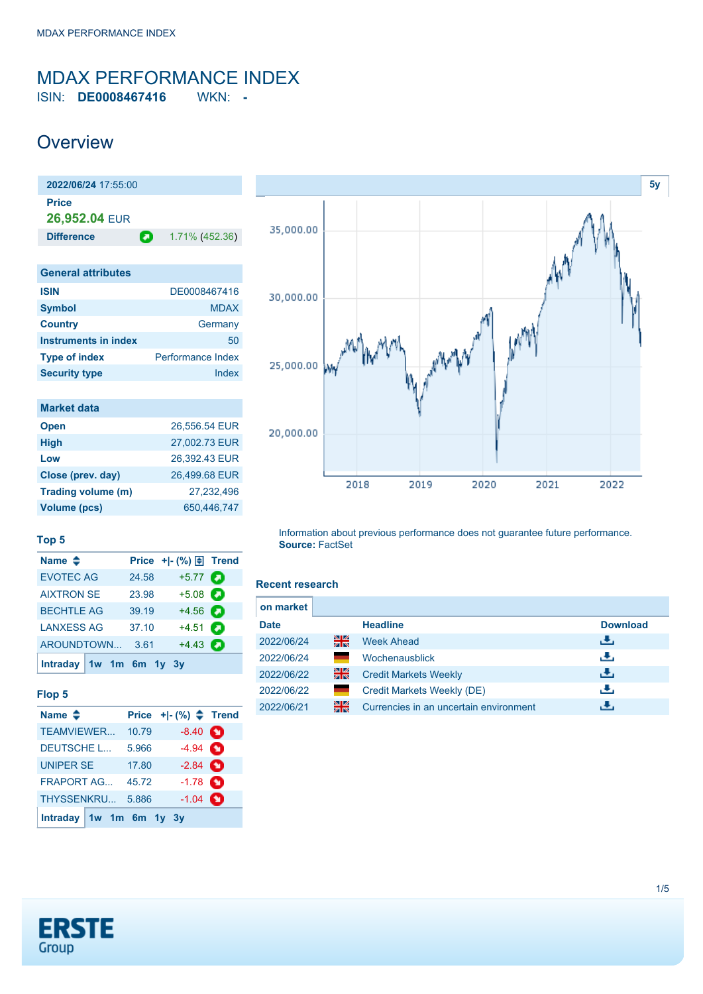### <span id="page-0-0"></span>MDAX PERFORMANCE INDEX ISIN: **DE0008467416** WKN: **-**

## **Overview**

| 2022/06/24 17:55:00         |                          |
|-----------------------------|--------------------------|
| <b>Price</b>                |                          |
| 26,952.04 EUR               |                          |
| <b>Difference</b>           | О<br>1.71% (452.36)      |
|                             |                          |
| <b>General attributes</b>   |                          |
| <b>ISIN</b>                 | DE0008467416             |
| <b>Symbol</b>               | <b>MDAX</b>              |
| <b>Country</b>              | Germany                  |
| <b>Instruments in index</b> | 50                       |
| <b>Type of index</b>        | <b>Performance Index</b> |
| <b>Security type</b>        | Index                    |

| <b>Market data</b> |               |
|--------------------|---------------|
| <b>Open</b>        | 26.556.54 EUR |
| <b>High</b>        | 27.002.73 EUR |
| Low                | 26.392.43 EUR |
| Close (prev. day)  | 26,499.68 EUR |
| Trading volume (m) | 27,232,496    |
| Volume (pcs)       | 650,446,747   |



#### **Top 5**

| Name $\triangleq$       |       | Price + - $(\%) \oplus$ Trend |   |
|-------------------------|-------|-------------------------------|---|
| <b>EVOTEC AG</b>        | 24.58 | $+5.77$ $\bullet$             |   |
| <b>AIXTRON SE</b>       | 23.98 | $+5.08$                       |   |
| <b>BECHTLE AG</b>       | 39.19 | $+4.56$ $\bullet$             |   |
| <b>LANXESS AG</b>       | 37.10 | $+4.51$                       | а |
| AROUNDTOWN              | 3.61  | $+4.43$                       |   |
| Intraday 1w 1m 6m 1y 3y |       |                               |   |

#### **Flop 5**

| Name $\triangleq$         |       | Price $+$ $ (*)$ $\spadesuit$ Trend |  |
|---------------------------|-------|-------------------------------------|--|
| TEAMVIEWER                | 10.79 | $-8.40$ $\bullet$                   |  |
| <b>DEUTSCHE L</b>         | 5.966 | $-4.94$ $\bullet$                   |  |
| <b>UNIPER SE</b>          | 17.80 | $-2.84$ $\bullet$                   |  |
| <b>FRAPORT AG</b>         | 45.72 | $-1.78$ $\bullet$                   |  |
| THYSSENKRU                | 5.886 | $-1.04$ $\bullet$                   |  |
| Intraday $1w$ 1m 6m 1y 3y |       |                                     |  |

Information about previous performance does not guarantee future performance. **Source:** FactSet

#### **Recent research**

|    | <b>Headline</b>                        | <b>Download</b> |
|----|----------------------------------------|-----------------|
| 을중 | <b>Week Ahead</b>                      | رائي            |
|    | Wochenausblick                         | æ,              |
| 을중 | <b>Credit Markets Weekly</b>           | رنان            |
|    | Credit Markets Weekly (DE)             | æ,              |
| 꾉  | Currencies in an uncertain environment |                 |
|    |                                        |                 |

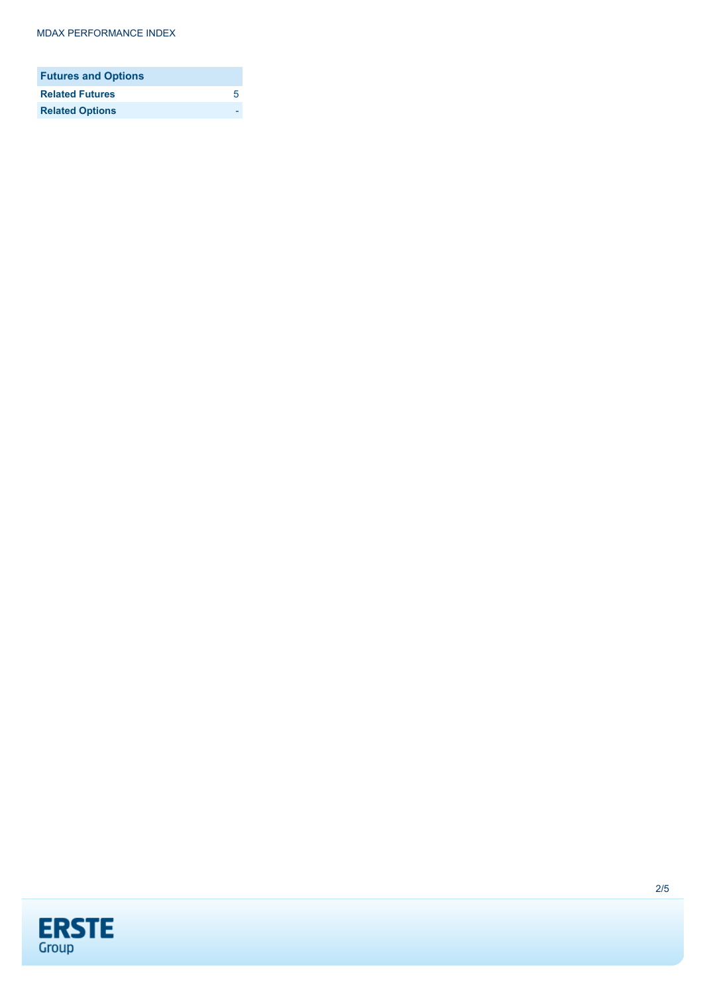#### MDAX PERFORMANCE INDEX

| <b>Futures and Options</b> |   |
|----------------------------|---|
| <b>Related Futures</b>     | 5 |
| <b>Related Options</b>     |   |

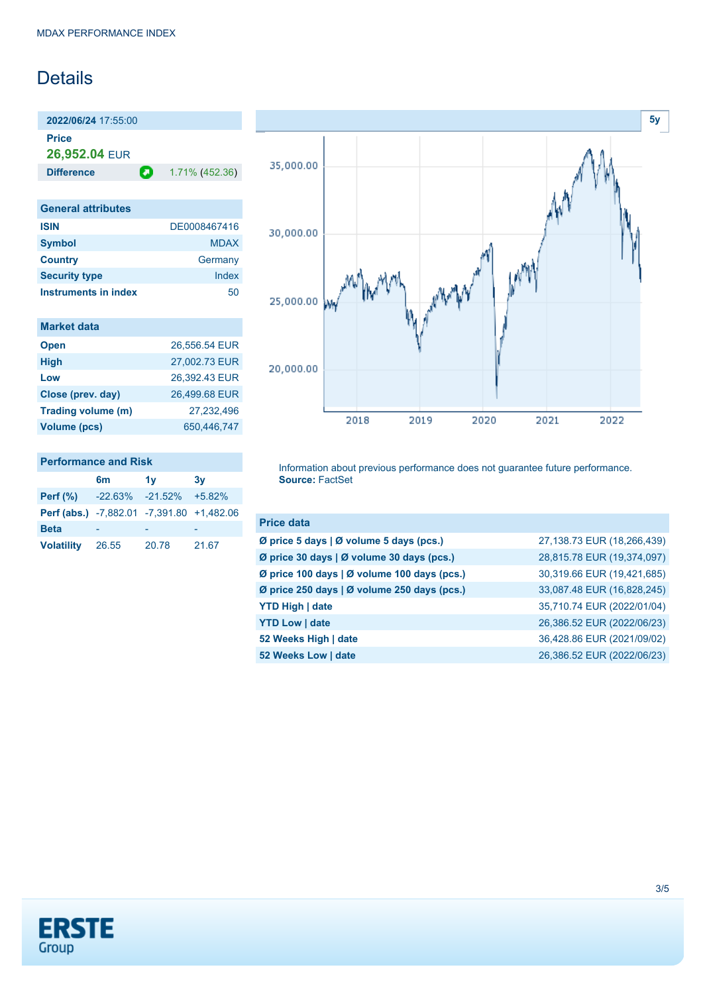# **Details**

**2022/06/24** 17:55:00 **Price**

**26,952.04** EUR

**Difference 1.71% (452.36)** 

| <b>General attributes</b> |              |
|---------------------------|--------------|
| <b>ISIN</b>               | DE0008467416 |
| <b>Symbol</b>             | <b>MDAX</b>  |
| <b>Country</b>            | Germany      |
| <b>Security type</b>      | Index        |
| Instruments in index      | 50           |

| <b>Market data</b> |  |  |  |
|--------------------|--|--|--|
|                    |  |  |  |
|                    |  |  |  |

| <b>Open</b>        | 26,556.54 EUR |
|--------------------|---------------|
| <b>High</b>        | 27,002.73 EUR |
| Low                | 26,392.43 EUR |
| Close (prev. day)  | 26,499.68 EUR |
| Trading volume (m) | 27,232,496    |
| Volume (pcs)       | 650,446,747   |
|                    |               |

### **Performance and Risk**

|                                           | 6m    | 1v                              | 3v    |
|-------------------------------------------|-------|---------------------------------|-------|
| Perf $(\%)$                               |       | $-22.63\%$ $-21.52\%$ $+5.82\%$ |       |
| Perf (abs.) -7,882.01 -7,391.80 +1,482.06 |       |                                 |       |
| <b>Beta</b>                               |       |                                 |       |
| <b>Volatility</b>                         | 26.55 | 20.78                           | 21.67 |



Information about previous performance does not guarantee future performance. **Source:** FactSet

| <b>Price data</b>                           |                            |
|---------------------------------------------|----------------------------|
| Ø price 5 days   Ø volume 5 days (pcs.)     | 27,138.73 EUR (18,266,439) |
| Ø price 30 days   Ø volume 30 days (pcs.)   | 28,815.78 EUR (19,374,097) |
| Ø price 100 days   Ø volume 100 days (pcs.) | 30,319.66 EUR (19,421,685) |
| Ø price 250 days   Ø volume 250 days (pcs.) | 33,087.48 EUR (16,828,245) |
| <b>YTD High   date</b>                      | 35,710.74 EUR (2022/01/04) |
| <b>YTD Low   date</b>                       | 26,386.52 EUR (2022/06/23) |
| 52 Weeks High   date                        | 36,428.86 EUR (2021/09/02) |
| 52 Weeks Low   date                         | 26,386.52 EUR (2022/06/23) |

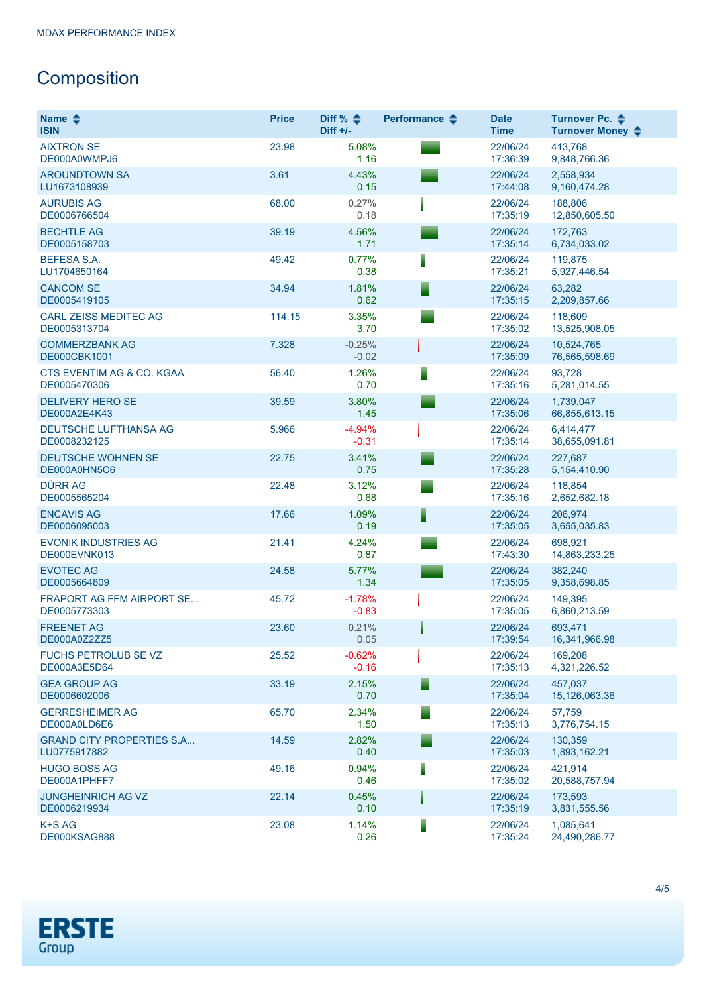# **Composition**

| Name $\clubsuit$<br><b>ISIN</b>                  | <b>Price</b> | Diff % $\triangleq$<br>$Diff +/-$ | Performance $\clubsuit$ | <b>Date</b><br><b>Time</b> | Turnover Pc. ♦<br>Turnover Money $\div$ |
|--------------------------------------------------|--------------|-----------------------------------|-------------------------|----------------------------|-----------------------------------------|
| <b>AIXTRON SE</b><br>DE000A0WMPJ6                | 23.98        | 5.08%<br>1.16                     |                         | 22/06/24<br>17:36:39       | 413,768<br>9,848,766.36                 |
| <b>AROUNDTOWN SA</b><br>LU1673108939             | 3.61         | 4.43%<br>0.15                     |                         | 22/06/24<br>17:44:08       | 2,558,934<br>9,160,474.28               |
| <b>AURUBIS AG</b><br>DE0006766504                | 68.00        | 0.27%<br>0.18                     |                         | 22/06/24<br>17:35:19       | 188,806<br>12,850,605.50                |
| <b>BECHTLE AG</b><br>DE0005158703                | 39.19        | 4.56%<br>1.71                     |                         | 22/06/24<br>17:35:14       | 172,763<br>6,734,033.02                 |
| <b>BEFESA S.A.</b><br>LU1704650164               | 49.42        | 0.77%<br>0.38                     |                         | 22/06/24<br>17:35:21       | 119,875<br>5,927,446.54                 |
| <b>CANCOM SE</b><br>DE0005419105                 | 34.94        | 1.81%<br>0.62                     |                         | 22/06/24<br>17:35:15       | 63,282<br>2,209,857.66                  |
| <b>CARL ZEISS MEDITEC AG</b><br>DE0005313704     | 114.15       | 3.35%<br>3.70                     |                         | 22/06/24<br>17:35:02       | 118,609<br>13,525,908.05                |
| <b>COMMERZBANK AG</b><br><b>DE000CBK1001</b>     | 7.328        | $-0.25%$<br>$-0.02$               |                         | 22/06/24<br>17:35:09       | 10,524,765<br>76,565,598.69             |
| CTS EVENTIM AG & CO. KGAA<br>DE0005470306        | 56.40        | 1.26%<br>0.70                     |                         | 22/06/24<br>17:35:16       | 93,728<br>5,281,014.55                  |
| <b>DELIVERY HERO SE</b><br>DE000A2E4K43          | 39.59        | 3.80%<br>1.45                     |                         | 22/06/24<br>17:35:06       | 1,739,047<br>66,855,613.15              |
| DEUTSCHE LUFTHANSA AG<br>DE0008232125            | 5.966        | $-4.94%$<br>$-0.31$               |                         | 22/06/24<br>17:35:14       | 6.414.477<br>38,655,091.81              |
| <b>DEUTSCHE WOHNEN SE</b><br>DE000A0HN5C6        | 22.75        | 3.41%<br>0.75                     |                         | 22/06/24<br>17:35:28       | 227,687<br>5,154,410.90                 |
| <b>DÜRR AG</b><br>DE0005565204                   | 22.48        | 3.12%<br>0.68                     |                         | 22/06/24<br>17:35:16       | 118,854<br>2,652,682.18                 |
| <b>ENCAVIS AG</b><br>DE0006095003                | 17.66        | 1.09%<br>0.19                     |                         | 22/06/24<br>17:35:05       | 206,974<br>3,655,035.83                 |
| <b>EVONIK INDUSTRIES AG</b><br>DE000EVNK013      | 21.41        | 4.24%<br>0.87                     |                         | 22/06/24<br>17:43:30       | 698,921<br>14,863,233.25                |
| <b>EVOTEC AG</b><br>DE0005664809                 | 24.58        | 5.77%<br>1.34                     |                         | 22/06/24<br>17:35:05       | 382,240<br>9,358,698.85                 |
| <b>FRAPORT AG FFM AIRPORT SE</b><br>DE0005773303 | 45.72        | $-1.78%$<br>$-0.83$               |                         | 22/06/24<br>17:35:05       | 149,395<br>6,860,213.59                 |
| <b>FREENET AG</b><br>DE000A0Z2ZZ5                | 23.60        | 0.21%<br>0.05                     |                         | 22/06/24<br>17:39:54       | 693.471<br>16,341,966.98                |
| <b>FUCHS PETROLUB SE VZ</b><br>DE000A3E5D64      | 25.52        | $-0.62%$<br>$-0.16$               |                         | 22/06/24<br>17:35:13       | 169,208<br>4,321,226.52                 |
| <b>GEA GROUP AG</b><br>DE0006602006              | 33.19        | 2.15%<br>0.70                     |                         | 22/06/24<br>17:35:04       | 457,037<br>15,126,063.36                |
| <b>GERRESHEIMER AG</b><br>DE000A0LD6E6           | 65.70        | 2.34%<br>1.50                     |                         | 22/06/24<br>17:35:13       | 57.759<br>3,776,754.15                  |
| <b>GRAND CITY PROPERTIES S.A</b><br>LU0775917882 | 14.59        | 2.82%<br>0.40                     |                         | 22/06/24<br>17:35:03       | 130.359<br>1,893,162.21                 |
| <b>HUGO BOSS AG</b><br>DE000A1PHFF7              | 49.16        | 0.94%<br>0.46                     |                         | 22/06/24<br>17:35:02       | 421.914<br>20,588,757.94                |
| <b>JUNGHEINRICH AG VZ</b><br>DE0006219934        | 22.14        | 0.45%<br>0.10                     |                         | 22/06/24<br>17:35:19       | 173,593<br>3,831,555.56                 |
| K+S AG<br>DE000KSAG888                           | 23.08        | 1.14%<br>0.26                     |                         | 22/06/24<br>17:35:24       | 1,085,641<br>24,490,286.77              |